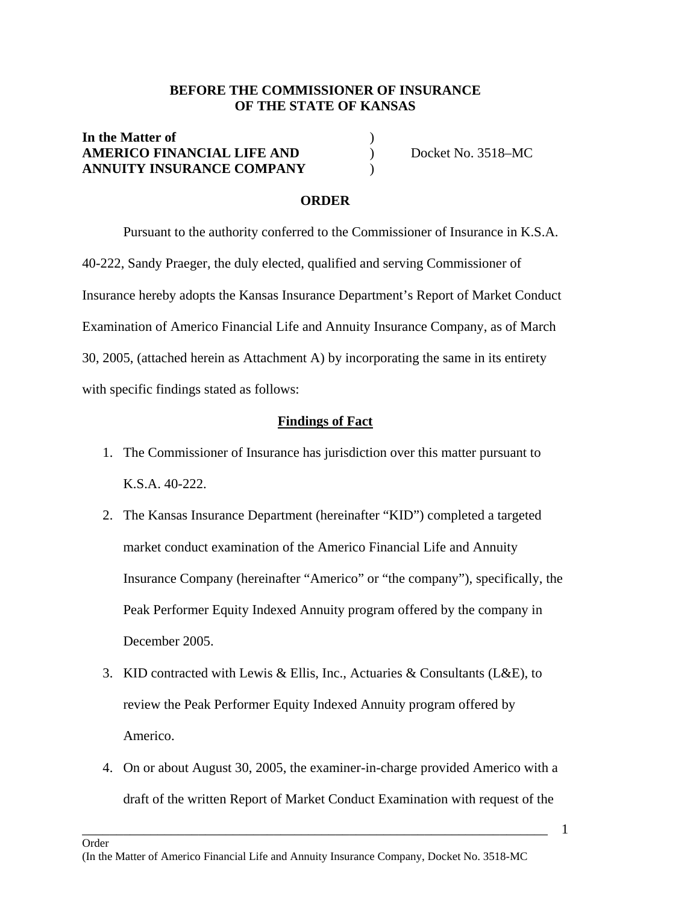## **BEFORE THE COMMISSIONER OF INSURANCE OF THE STATE OF KANSAS**

## **In the Matter of** ) AMERICO FINANCIAL LIFE AND Docket No. 3518-MC **ANNUITY INSURANCE COMPANY** )

#### **ORDER**

 Pursuant to the authority conferred to the Commissioner of Insurance in K.S.A. 40-222, Sandy Praeger, the duly elected, qualified and serving Commissioner of Insurance hereby adopts the Kansas Insurance Department's Report of Market Conduct Examination of Americo Financial Life and Annuity Insurance Company, as of March 30, 2005, (attached herein as Attachment A) by incorporating the same in its entirety with specific findings stated as follows:

#### **Findings of Fact**

- 1. The Commissioner of Insurance has jurisdiction over this matter pursuant to K.S.A. 40-222.
- 2. The Kansas Insurance Department (hereinafter "KID") completed a targeted market conduct examination of the Americo Financial Life and Annuity Insurance Company (hereinafter "Americo" or "the company"), specifically, the Peak Performer Equity Indexed Annuity program offered by the company in December 2005.
- 3. KID contracted with Lewis & Ellis, Inc., Actuaries & Consultants (L&E), to review the Peak Performer Equity Indexed Annuity program offered by Americo.
- 4. On or about August 30, 2005, the examiner-in-charge provided Americo with a draft of the written Report of Market Conduct Examination with request of the

\_\_\_\_\_\_\_\_\_\_\_\_\_\_\_\_\_\_\_\_\_\_\_\_\_\_\_\_\_\_\_\_\_\_\_\_\_\_\_\_\_\_\_\_\_\_\_\_\_\_\_\_\_\_\_\_\_\_\_\_\_\_\_\_\_\_\_\_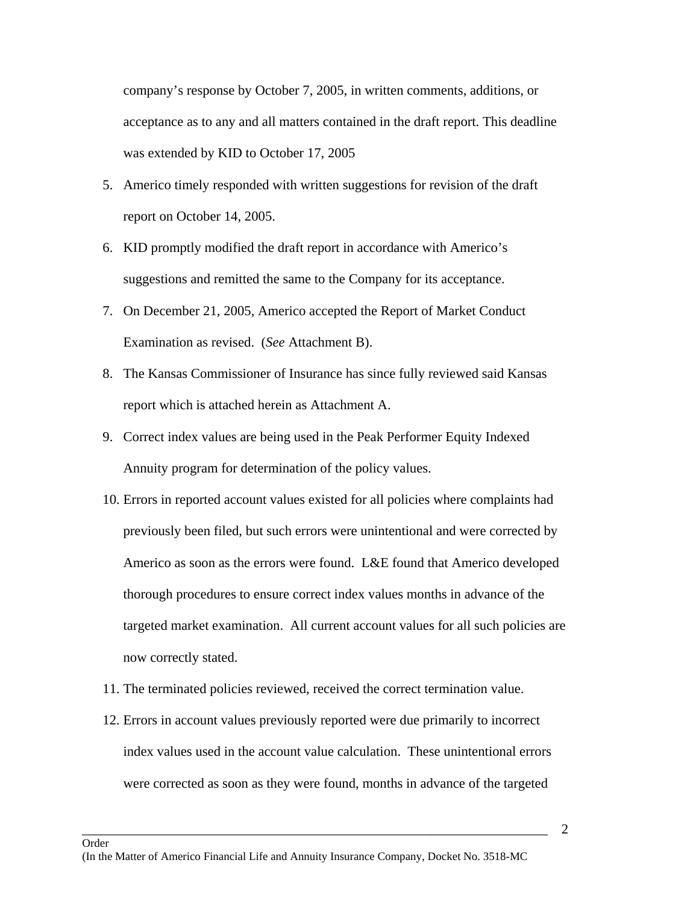company's response by October 7, 2005, in written comments, additions, or acceptance as to any and all matters contained in the draft report. This deadline was extended by KID to October 17, 2005

- 5. Americo timely responded with written suggestions for revision of the draft report on October 14, 2005.
- 6. KID promptly modified the draft report in accordance with Americo's suggestions and remitted the same to the Company for its acceptance.
- 7. On December 21, 2005, Americo accepted the Report of Market Conduct Examination as revised. (*See* Attachment B).
- 8. The Kansas Commissioner of Insurance has since fully reviewed said Kansas report which is attached herein as Attachment A.
- 9. Correct index values are being used in the Peak Performer Equity Indexed Annuity program for determination of the policy values.
- 10. Errors in reported account values existed for all policies where complaints had previously been filed, but such errors were unintentional and were corrected by Americo as soon as the errors were found. L&E found that Americo developed thorough procedures to ensure correct index values months in advance of the targeted market examination. All current account values for all such policies are now correctly stated.
- 11. The terminated policies reviewed, received the correct termination value.
- 12. Errors in account values previously reported were due primarily to incorrect index values used in the account value calculation. These unintentional errors were corrected as soon as they were found, months in advance of the targeted

\_\_\_\_\_\_\_\_\_\_\_\_\_\_\_\_\_\_\_\_\_\_\_\_\_\_\_\_\_\_\_\_\_\_\_\_\_\_\_\_\_\_\_\_\_\_\_\_\_\_\_\_\_\_\_\_\_\_\_\_\_\_\_\_\_\_\_\_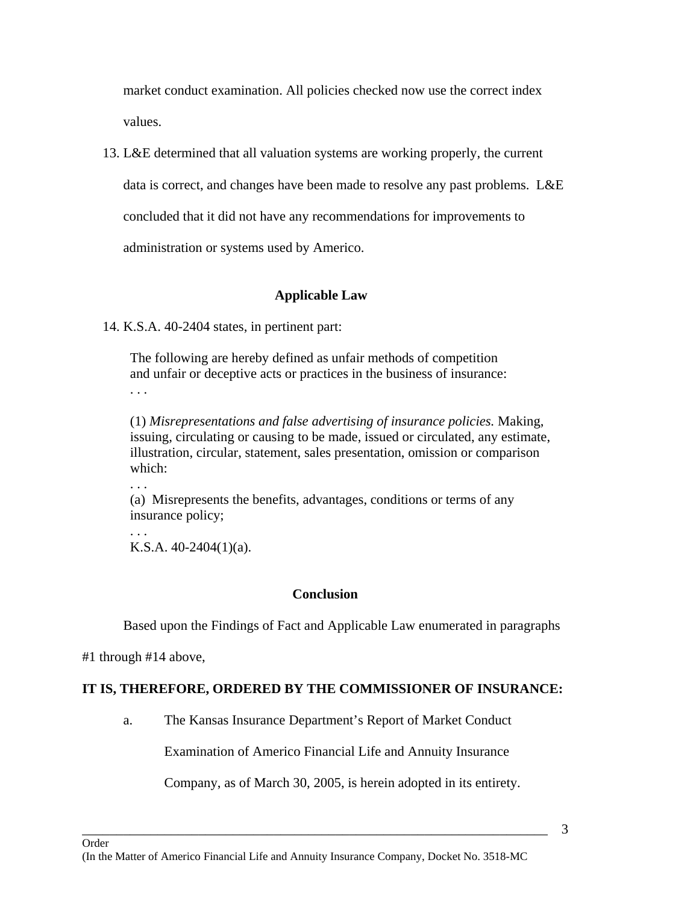market conduct examination. All policies checked now use the correct index values.

13. L&E determined that all valuation systems are working properly, the current

data is correct, and changes have been made to resolve any past problems. L&E

concluded that it did not have any recommendations for improvements to

administration or systems used by Americo.

# **Applicable Law**

14. K.S.A. 40-2404 states, in pertinent part:

The following are hereby defined as unfair methods of competition and unfair or deceptive acts or practices in the business of insurance: . . .

(1) *Misrepresentations and false advertising of insurance policies.* Making, issuing, circulating or causing to be made, issued or circulated, any estimate, illustration, circular, statement, sales presentation, omission or comparison which:

(a) Misrepresents the benefits, advantages, conditions or terms of any insurance policy;

. . . K.S.A. 40-2404(1)(a).

# **Conclusion**

Based upon the Findings of Fact and Applicable Law enumerated in paragraphs

#1 through #14 above,

. . .

# **IT IS, THEREFORE, ORDERED BY THE COMMISSIONER OF INSURANCE:**

a. The Kansas Insurance Department's Report of Market Conduct

Examination of Americo Financial Life and Annuity Insurance

Company, as of March 30, 2005, is herein adopted in its entirety.

\_\_\_\_\_\_\_\_\_\_\_\_\_\_\_\_\_\_\_\_\_\_\_\_\_\_\_\_\_\_\_\_\_\_\_\_\_\_\_\_\_\_\_\_\_\_\_\_\_\_\_\_\_\_\_\_\_\_\_\_\_\_\_\_\_\_\_\_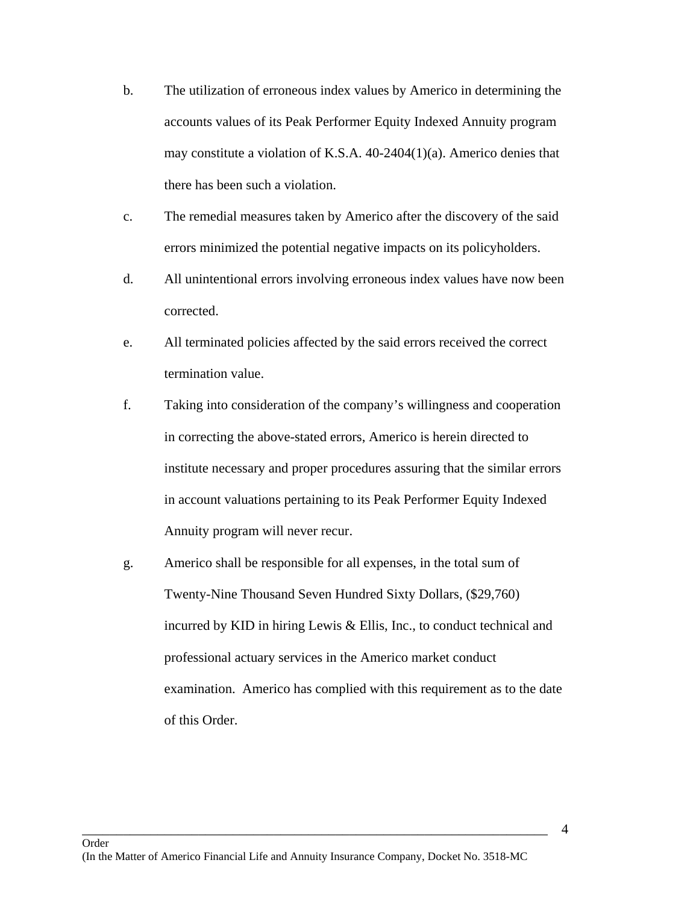- b. The utilization of erroneous index values by Americo in determining the accounts values of its Peak Performer Equity Indexed Annuity program may constitute a violation of K.S.A. 40-2404(1)(a). Americo denies that there has been such a violation.
- c. The remedial measures taken by Americo after the discovery of the said errors minimized the potential negative impacts on its policyholders.
- d. All unintentional errors involving erroneous index values have now been corrected.
- e. All terminated policies affected by the said errors received the correct termination value.
- f. Taking into consideration of the company's willingness and cooperation in correcting the above-stated errors, Americo is herein directed to institute necessary and proper procedures assuring that the similar errors in account valuations pertaining to its Peak Performer Equity Indexed Annuity program will never recur.
- g. Americo shall be responsible for all expenses, in the total sum of Twenty-Nine Thousand Seven Hundred Sixty Dollars, (\$29,760) incurred by KID in hiring Lewis & Ellis, Inc., to conduct technical and professional actuary services in the Americo market conduct examination. Americo has complied with this requirement as to the date of this Order.

\_\_\_\_\_\_\_\_\_\_\_\_\_\_\_\_\_\_\_\_\_\_\_\_\_\_\_\_\_\_\_\_\_\_\_\_\_\_\_\_\_\_\_\_\_\_\_\_\_\_\_\_\_\_\_\_\_\_\_\_\_\_\_\_\_\_\_\_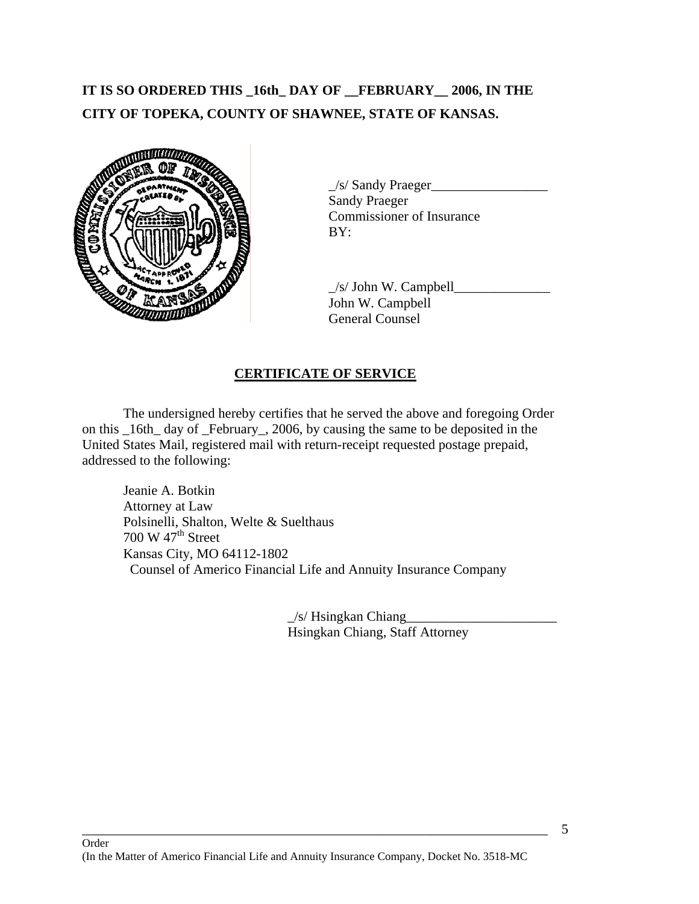# **IT IS SO ORDERED THIS \_16th\_ DAY OF \_\_FEBRUARY\_\_ 2006, IN THE CITY OF TOPEKA, COUNTY OF SHAWNEE, STATE OF KANSAS.**



 $\angle$ s/ Sandy Praeger $\angle$ Sandy Praeger Commissioner of Insurance

 $\angle$ s/ John W. Campbell $\angle$ John W. Campbell General Counsel

## **CERTIFICATE OF SERVICE**

 The undersigned hereby certifies that he served the above and foregoing Order on this \_16th\_ day of \_February\_, 2006, by causing the same to be deposited in the United States Mail, registered mail with return-receipt requested postage prepaid, addressed to the following:

 Jeanie A. Botkin Attorney at Law Polsinelli, Shalton, Welte & Suelthaus 700 W  $47<sup>th</sup>$  Street Kansas City, MO 64112-1802 Counsel of Americo Financial Life and Annuity Insurance Company

> $\angle$ s/ Hsingkan Chiang Hsingkan Chiang, Staff Attorney

\_\_\_\_\_\_\_\_\_\_\_\_\_\_\_\_\_\_\_\_\_\_\_\_\_\_\_\_\_\_\_\_\_\_\_\_\_\_\_\_\_\_\_\_\_\_\_\_\_\_\_\_\_\_\_\_\_\_\_\_\_\_\_\_\_\_\_\_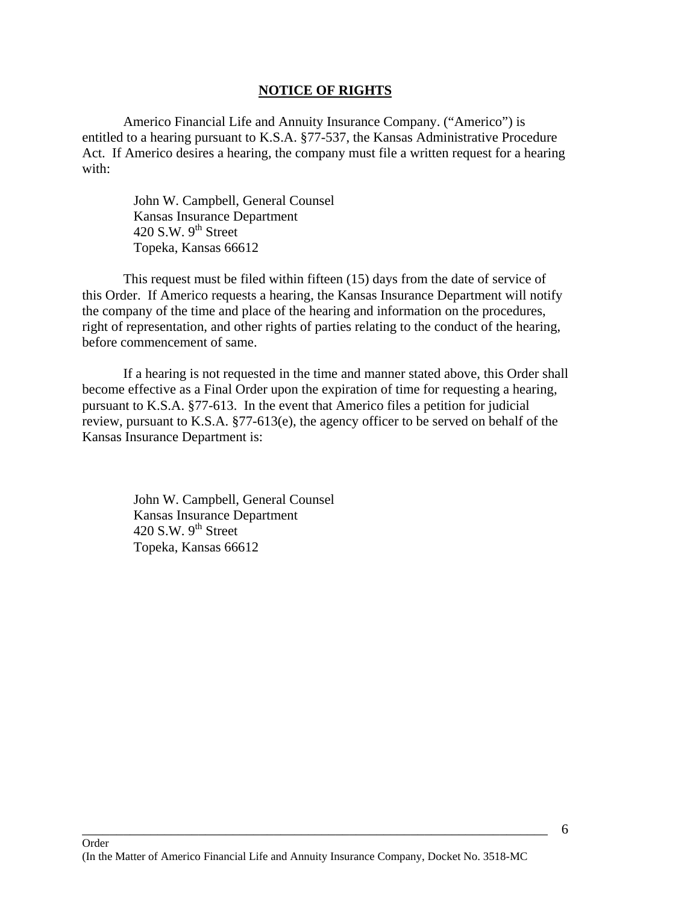#### **NOTICE OF RIGHTS**

 Americo Financial Life and Annuity Insurance Company. ("Americo") is entitled to a hearing pursuant to K.S.A. §77-537, the Kansas Administrative Procedure Act. If Americo desires a hearing, the company must file a written request for a hearing with:

> John W. Campbell, General Counsel Kansas Insurance Department 420 S.W.  $9^{th}$  Street Topeka, Kansas 66612

 This request must be filed within fifteen (15) days from the date of service of this Order. If Americo requests a hearing, the Kansas Insurance Department will notify the company of the time and place of the hearing and information on the procedures, right of representation, and other rights of parties relating to the conduct of the hearing, before commencement of same.

 If a hearing is not requested in the time and manner stated above, this Order shall become effective as a Final Order upon the expiration of time for requesting a hearing, pursuant to K.S.A. §77-613. In the event that Americo files a petition for judicial review, pursuant to K.S.A. §77-613(e), the agency officer to be served on behalf of the Kansas Insurance Department is:

> John W. Campbell, General Counsel Kansas Insurance Department 420 S.W.  $9^{th}$  Street Topeka, Kansas 66612

\_\_\_\_\_\_\_\_\_\_\_\_\_\_\_\_\_\_\_\_\_\_\_\_\_\_\_\_\_\_\_\_\_\_\_\_\_\_\_\_\_\_\_\_\_\_\_\_\_\_\_\_\_\_\_\_\_\_\_\_\_\_\_\_\_\_\_\_